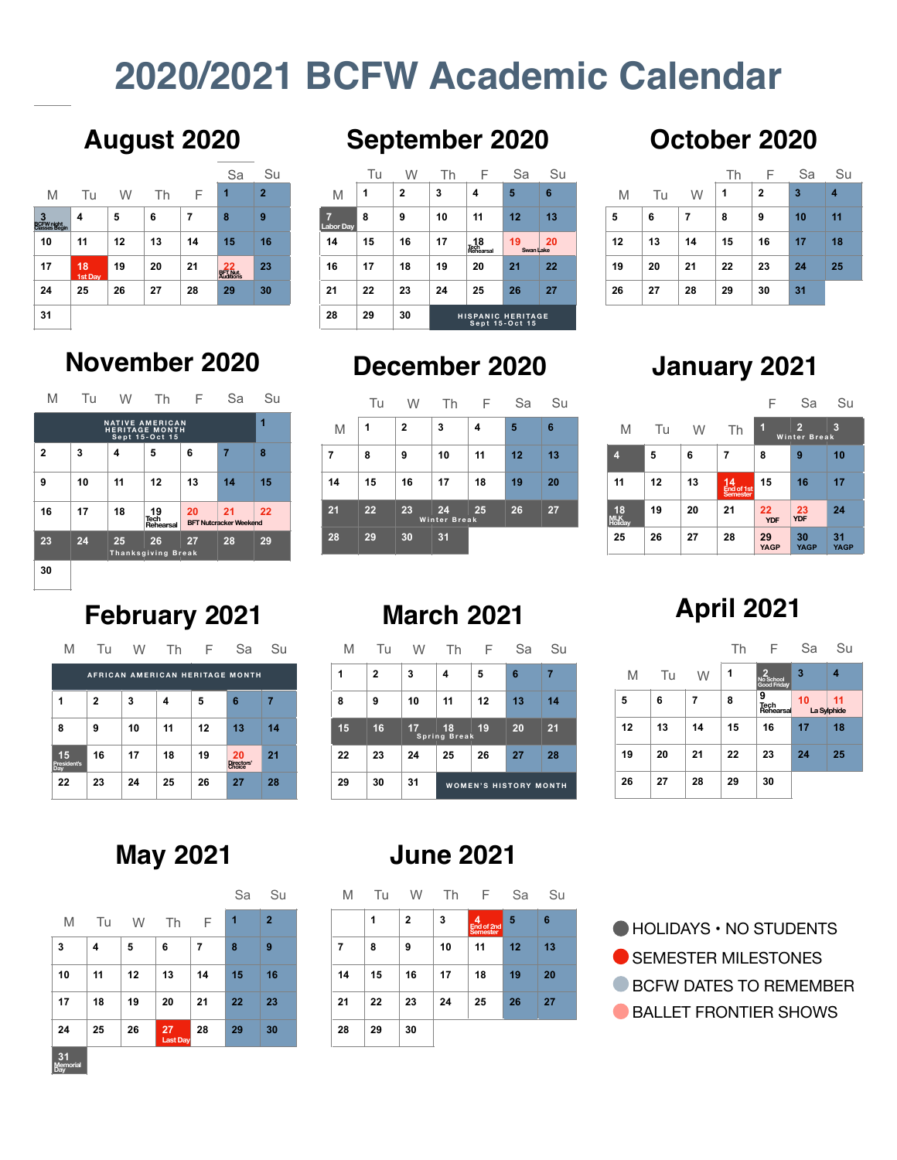# **2020/2021 BCFW Academic Calendar**

|                                         |               |    |    |    | Sa                                 | Su             |                       | Tu | ν              |
|-----------------------------------------|---------------|----|----|----|------------------------------------|----------------|-----------------------|----|----------------|
| M                                       | Tu            | W  | Τh | F  | 1                                  | $\overline{2}$ | M                     | 1  | $\overline{2}$ |
| 3<br><b>BCFW night</b><br>Classes Begin | 4             | 5  | 6  | 7  | 8                                  | 9              | Π<br><b>Labor Day</b> | 8  | 9              |
| 10                                      | 11            | 12 | 13 | 14 | 15                                 | 16             | 14                    | 15 | 16             |
| 17                                      | 18<br>1st Day | 19 | 20 | 21 | 22<br><b>BFT Nut.</b><br>Auditions | 23             | 16                    | 17 | 18             |
| 24                                      | 25            | 26 | 27 | 28 | 29                                 | 30             | 21                    | 22 | 23             |
| 31                                      |               |    |    |    |                                    |                | 28                    | 29 | 30             |

## **November 2020**

| M  | Tu | W  | Th                                                                | F  | Sa                                  | Su |
|----|----|----|-------------------------------------------------------------------|----|-------------------------------------|----|
|    |    |    | <b>NATIVE AMERICAN</b><br><b>HERITAGE MONTH</b><br>Sept 15-Oct 15 |    |                                     | 1  |
| 2  | 3  | 4  | 5                                                                 | 6  | 7                                   | 8  |
| 9  | 10 | 11 | 12                                                                | 13 | 14                                  | 15 |
| 16 | 17 | 18 | 19<br>Tech<br>Rehearsal                                           | 20 | 21<br><b>BFT Nutcracker Weekend</b> | 22 |
| 23 | 24 | 25 | 26<br>Thanksgiving Break                                          | 27 | 28                                  | 29 |
| 30 |    |    |                                                                   |    |                                     |    |

### **February 2021 March 2021**

| M                        |    | W  | 1 h | F  | Sa                              | Su | M  | Τu | W  |                           |                              | Sa | Su |
|--------------------------|----|----|-----|----|---------------------------------|----|----|----|----|---------------------------|------------------------------|----|----|
|                          |    |    |     |    | AFRICAN AMERICAN HERITAGE MONTH |    |    | 2  | 3  | 4                         | 5                            | 6  | 7  |
|                          | 2  | 3  | 4   | 5  | 6                               |    | 8  | 9  | 10 | 11                        | 12                           | 13 | 14 |
| 8                        | 9  | 10 | 11  | 12 | 13                              | 14 | 15 | 16 | 17 | 18<br><b>Spring Break</b> | 19                           | 20 | 21 |
| 15<br>President's<br>Day | 16 | 17 | 18  | 19 | 20<br>Directors'<br>Choice      | 21 | 22 | 23 | 24 | 25                        | 26                           | 27 | 28 |
| 22                       | 23 | 24 | 25  | 26 | 27                              | 28 | 29 | 30 | 31 |                           | <b>WOMEN'S HISTORY MONTH</b> |    |    |

### **August 2020 September 2020 October 2020**



## **December 2020 January 2021**

|           | Sa                                  | Su |    | Tu | W  |                           |    | Sa | Su |                             |    |    |                              | ⊏                | Sa                        | S                     |
|-----------|-------------------------------------|----|----|----|----|---------------------------|----|----|----|-----------------------------|----|----|------------------------------|------------------|---------------------------|-----------------------|
|           |                                     | 1  | M  | 1  | 2  | 3                         | 4  | 5  | 6  | M                           | Гu | W  | Th                           |                  | 12<br><b>Winter Break</b> | $\mathbf{3}$          |
|           |                                     | 8  | ⇁  | 8  | 9  | 10                        | 11 | 12 | 13 | $\overline{4}$              | 5  | 6  | 7                            | 8                | 9                         | 10                    |
| 13        | 14                                  | 15 | 14 | 15 | 16 | 17                        | 18 | 19 | 20 | 11                          | 12 | 13 | 14<br>End of 1st<br>Semester | 15               | 16                        | 17                    |
| 20        | 21<br><b>BFT Nutcracker Weekend</b> | 22 | 21 | 22 | 23 | 24<br><b>Winter Break</b> | 25 | 26 | 27 | 18<br><b>MLK</b><br>Holiday | 19 | 20 | 21                           | 22<br><b>YDF</b> | 23<br><b>YDF</b>          | 24                    |
| 27<br>a k | 28                                  | 29 | 28 | 29 | 30 | 31                        |    |    |    | 25                          | 26 | 27 | 28                           | 29<br>YAGP       | 30<br><b>YAGP</b>         | 31<br>YA <sub>(</sub> |

|    |    |    | Th | F            | Sa | Su |
|----|----|----|----|--------------|----|----|
| M  | Tu | W  | 1  | $\mathbf{2}$ | 3  | 4  |
| 5  | 6  | 7  | 8  | 9            | 10 | 11 |
| 12 | 13 | 14 | 15 | 16           | 17 | 18 |
| 19 | 20 | 21 | 22 | 23           | 24 | 25 |
| 26 | 27 | 28 | 29 | 30           | 31 |    |

| Tu             | W              | Τh                        | F  | Sa | Su |                             |    |    |                              | F                | Sa                                    | Su                      |
|----------------|----------------|---------------------------|----|----|----|-----------------------------|----|----|------------------------------|------------------|---------------------------------------|-------------------------|
|                | $\overline{2}$ | 3                         | 4  | 5  | 6  | M                           | Tu | W  | Th                           | и                | $\overline{2}$<br><b>Winter Break</b> | $\overline{\mathbf{3}}$ |
|                | 9              | 10                        | 11 | 12 | 13 | $\overline{4}$              | 5  | 6  | 7                            | 8                | 9                                     | 10                      |
| 5              | 16             | 17                        | 18 | 19 | 20 | 11                          | 12 | 13 | 14<br>End of 1st<br>Semester | 15               | 16                                    | 17                      |
| $\overline{2}$ | 23             | 24<br><b>Winter Break</b> | 25 | 26 | 27 | 18<br><b>MLK</b><br>Holiday | 19 | 20 | 21                           | 22<br><b>YDF</b> | 23<br><b>YDF</b>                      | 24                      |
| 9              | 30             | 31                        |    |    |    | 25                          | 26 | 27 | 28                           | 29<br>YAGP       | 30<br><b>YAGP</b>                     | 31<br><b>YAGP</b>       |

## **April 2021**

|    |    |    | Th | F                             | Sa | Su                |
|----|----|----|----|-------------------------------|----|-------------------|
| M  | Tu | W  | 1  | 2<br>No School<br>Good Friday | 3  | 4                 |
| 5  | 6  | 7  | 8  | 9<br>Tech<br>Rehearsal        | 10 | 11<br>La Sylphide |
| 12 | 13 | 14 | 15 | 16                            | 17 | 18                |
| 19 | 20 | 21 | 22 | 23                            | 24 | 25                |
| 26 | 27 | 28 | 29 | 30                            |    |                   |

|                |    |    |                       |    | Sa | Su             | M  | Tu | W            | Th | F                           | Sa | S  |
|----------------|----|----|-----------------------|----|----|----------------|----|----|--------------|----|-----------------------------|----|----|
| M              | Tu | W  | Th                    | F  | 1  | $\overline{2}$ |    | 1  | $\mathbf{2}$ | 3  | 4<br>End of 2nd<br>Semester | 5  | 6  |
| 3              | 4  | 5  | 6                     | 7  | 8  | 9              | 7  | 8  | 9            | 10 | 11                          | 12 | 13 |
| 10             | 11 | 12 | 13                    | 14 | 15 | 16             | 14 | 15 | 16           | 17 | 18                          | 19 | 20 |
| 17             | 18 | 19 | 20                    | 21 | 22 | 23             | 21 | 22 | 23           | 24 | 25                          | 26 | 27 |
| 24             | 25 | 26 | 27<br><b>Last Day</b> | 28 | 29 | 30             | 28 | 29 | 30           |    |                             |    |    |
| 31<br>Memorial |    |    |                       |    |    |                |    |    |              |    |                             |    |    |

## **May 2021 June 2021**

| Sa | Su             | M  | Tu | W  | Th | F                           | Sa | Su |
|----|----------------|----|----|----|----|-----------------------------|----|----|
|    | $\overline{2}$ |    | 1  | 2  | 3  | 4<br>End of 2nd<br>Semester | 5  | 6  |
|    | 9              | 7  | 8  | 9  | 10 | 11                          | 12 | 13 |
| 15 | 16             | 14 | 15 | 16 | 17 | 18                          | 19 | 20 |
| 22 | 23             | 21 | 22 | 23 | 24 | 25                          | 26 | 27 |
| 29 | 30             | 28 | 29 | 30 |    |                             |    |    |
|    |                |    |    |    |    |                             |    |    |

 $\bullet$  HOLIDAYS  $\cdot$  NO STUDENTS SEMESTER MILESTONES **BCFW DATES TO REMEMBER BALLET FRONTIER SHOWS**